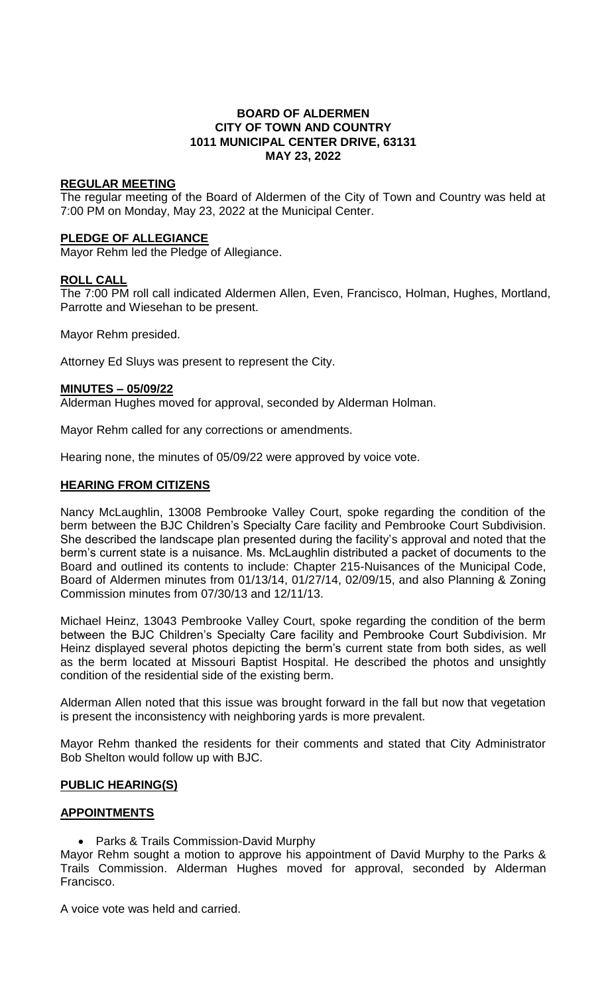## **BOARD OF ALDERMEN CITY OF TOWN AND COUNTRY 1011 MUNICIPAL CENTER DRIVE, 63131 MAY 23, 2022**

## **REGULAR MEETING**

The regular meeting of the Board of Aldermen of the City of Town and Country was held at 7:00 PM on Monday, May 23, 2022 at the Municipal Center.

## **PLEDGE OF ALLEGIANCE**

Mayor Rehm led the Pledge of Allegiance.

## **ROLL CALL**

The 7:00 PM roll call indicated Aldermen Allen, Even, Francisco, Holman, Hughes, Mortland, Parrotte and Wiesehan to be present.

Mayor Rehm presided.

Attorney Ed Sluys was present to represent the City.

## **MINUTES – 05/09/22**

Alderman Hughes moved for approval, seconded by Alderman Holman.

Mayor Rehm called for any corrections or amendments.

Hearing none, the minutes of 05/09/22 were approved by voice vote.

## **HEARING FROM CITIZENS**

Nancy McLaughlin, 13008 Pembrooke Valley Court, spoke regarding the condition of the berm between the BJC Children's Specialty Care facility and Pembrooke Court Subdivision. She described the landscape plan presented during the facility's approval and noted that the berm's current state is a nuisance. Ms. McLaughlin distributed a packet of documents to the Board and outlined its contents to include: Chapter 215-Nuisances of the Municipal Code, Board of Aldermen minutes from 01/13/14, 01/27/14, 02/09/15, and also Planning & Zoning Commission minutes from 07/30/13 and 12/11/13.

Michael Heinz, 13043 Pembrooke Valley Court, spoke regarding the condition of the berm between the BJC Children's Specialty Care facility and Pembrooke Court Subdivision. Mr Heinz displayed several photos depicting the berm's current state from both sides, as well as the berm located at Missouri Baptist Hospital. He described the photos and unsightly condition of the residential side of the existing berm.

Alderman Allen noted that this issue was brought forward in the fall but now that vegetation is present the inconsistency with neighboring yards is more prevalent.

Mayor Rehm thanked the residents for their comments and stated that City Administrator Bob Shelton would follow up with BJC.

## **PUBLIC HEARING(S)**

## **APPOINTMENTS**

• Parks & Trails Commission-David Murphy

Mayor Rehm sought a motion to approve his appointment of David Murphy to the Parks & Trails Commission. Alderman Hughes moved for approval, seconded by Alderman Francisco.

A voice vote was held and carried.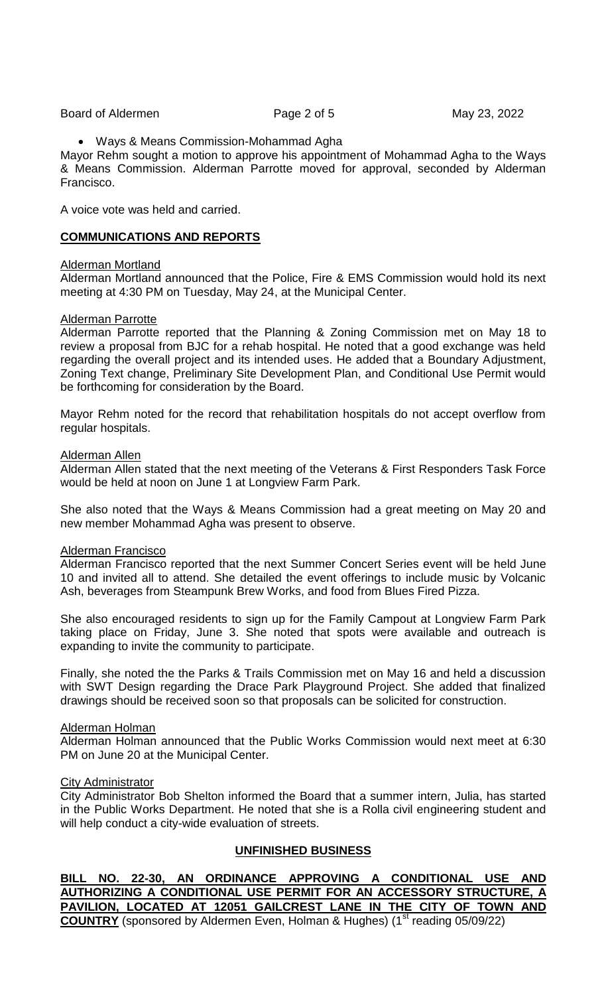Board of Aldermen **Page 2 of 5** May 23, 2022

#### Ways & Means Commission-Mohammad Agha

Mayor Rehm sought a motion to approve his appointment of Mohammad Agha to the Ways & Means Commission. Alderman Parrotte moved for approval, seconded by Alderman Francisco.

A voice vote was held and carried.

## **COMMUNICATIONS AND REPORTS**

#### Alderman Mortland

Alderman Mortland announced that the Police, Fire & EMS Commission would hold its next meeting at 4:30 PM on Tuesday, May 24, at the Municipal Center.

#### Alderman Parrotte

Alderman Parrotte reported that the Planning & Zoning Commission met on May 18 to review a proposal from BJC for a rehab hospital. He noted that a good exchange was held regarding the overall project and its intended uses. He added that a Boundary Adjustment, Zoning Text change, Preliminary Site Development Plan, and Conditional Use Permit would be forthcoming for consideration by the Board.

Mayor Rehm noted for the record that rehabilitation hospitals do not accept overflow from regular hospitals.

#### Alderman Allen

Alderman Allen stated that the next meeting of the Veterans & First Responders Task Force would be held at noon on June 1 at Longview Farm Park.

She also noted that the Ways & Means Commission had a great meeting on May 20 and new member Mohammad Agha was present to observe.

## Alderman Francisco

Alderman Francisco reported that the next Summer Concert Series event will be held June 10 and invited all to attend. She detailed the event offerings to include music by Volcanic Ash, beverages from Steampunk Brew Works, and food from Blues Fired Pizza.

She also encouraged residents to sign up for the Family Campout at Longview Farm Park taking place on Friday, June 3. She noted that spots were available and outreach is expanding to invite the community to participate.

Finally, she noted the the Parks & Trails Commission met on May 16 and held a discussion with SWT Design regarding the Drace Park Playground Project. She added that finalized drawings should be received soon so that proposals can be solicited for construction.

## Alderman Holman

Alderman Holman announced that the Public Works Commission would next meet at 6:30 PM on June 20 at the Municipal Center.

#### City Administrator

City Administrator Bob Shelton informed the Board that a summer intern, Julia, has started in the Public Works Department. He noted that she is a Rolla civil engineering student and will help conduct a city-wide evaluation of streets.

## **UNFINISHED BUSINESS**

**BILL NO. 22-30, AN ORDINANCE APPROVING A CONDITIONAL USE AND AUTHORIZING A CONDITIONAL USE PERMIT FOR AN ACCESSORY STRUCTURE, A PAVILION, LOCATED AT 12051 GAILCREST LANE IN THE CITY OF TOWN AND COUNTRY** (sponsored by Aldermen Even, Holman & Hughes) (1<sup>st</sup> reading 05/09/22)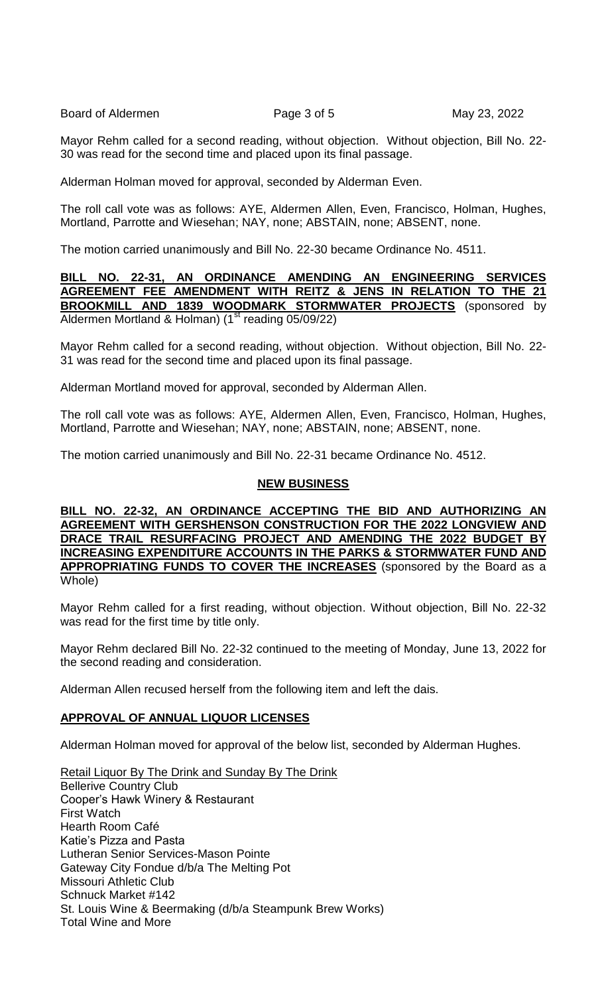Board of Aldermen **Page 3 of 5** May 23, 2022

Mayor Rehm called for a second reading, without objection. Without objection, Bill No. 22- 30 was read for the second time and placed upon its final passage.

Alderman Holman moved for approval, seconded by Alderman Even.

The roll call vote was as follows: AYE, Aldermen Allen, Even, Francisco, Holman, Hughes, Mortland, Parrotte and Wiesehan; NAY, none; ABSTAIN, none; ABSENT, none.

The motion carried unanimously and Bill No. 22-30 became Ordinance No. 4511.

## **BILL NO. 22-31, AN ORDINANCE AMENDING AN ENGINEERING SERVICES AGREEMENT FEE AMENDMENT WITH REITZ & JENS IN RELATION TO THE 21 BROOKMILL AND 1839 WOODMARK STORMWATER PROJECTS** (sponsored by Aldermen Mortland & Holman) ( $1<sup>st</sup>$  reading 05/09/22)

Mayor Rehm called for a second reading, without objection. Without objection, Bill No. 22- 31 was read for the second time and placed upon its final passage.

Alderman Mortland moved for approval, seconded by Alderman Allen.

The roll call vote was as follows: AYE, Aldermen Allen, Even, Francisco, Holman, Hughes, Mortland, Parrotte and Wiesehan; NAY, none; ABSTAIN, none; ABSENT, none.

The motion carried unanimously and Bill No. 22-31 became Ordinance No. 4512.

## **NEW BUSINESS**

**BILL NO. 22-32, AN ORDINANCE ACCEPTING THE BID AND AUTHORIZING AN AGREEMENT WITH GERSHENSON CONSTRUCTION FOR THE 2022 LONGVIEW AND DRACE TRAIL RESURFACING PROJECT AND AMENDING THE 2022 BUDGET BY INCREASING EXPENDITURE ACCOUNTS IN THE PARKS & STORMWATER FUND AND APPROPRIATING FUNDS TO COVER THE INCREASES** (sponsored by the Board as a Whole)

Mayor Rehm called for a first reading, without objection. Without objection, Bill No. 22-32 was read for the first time by title only.

Mayor Rehm declared Bill No. 22-32 continued to the meeting of Monday, June 13, 2022 for the second reading and consideration.

Alderman Allen recused herself from the following item and left the dais.

## **APPROVAL OF ANNUAL LIQUOR LICENSES**

Alderman Holman moved for approval of the below list, seconded by Alderman Hughes.

Retail Liquor By The Drink and Sunday By The Drink Bellerive Country Club Cooper's Hawk Winery & Restaurant First Watch Hearth Room Café Katie's Pizza and Pasta Lutheran Senior Services-Mason Pointe Gateway City Fondue d/b/a The Melting Pot Missouri Athletic Club Schnuck Market #142 St. Louis Wine & Beermaking (d/b/a Steampunk Brew Works) Total Wine and More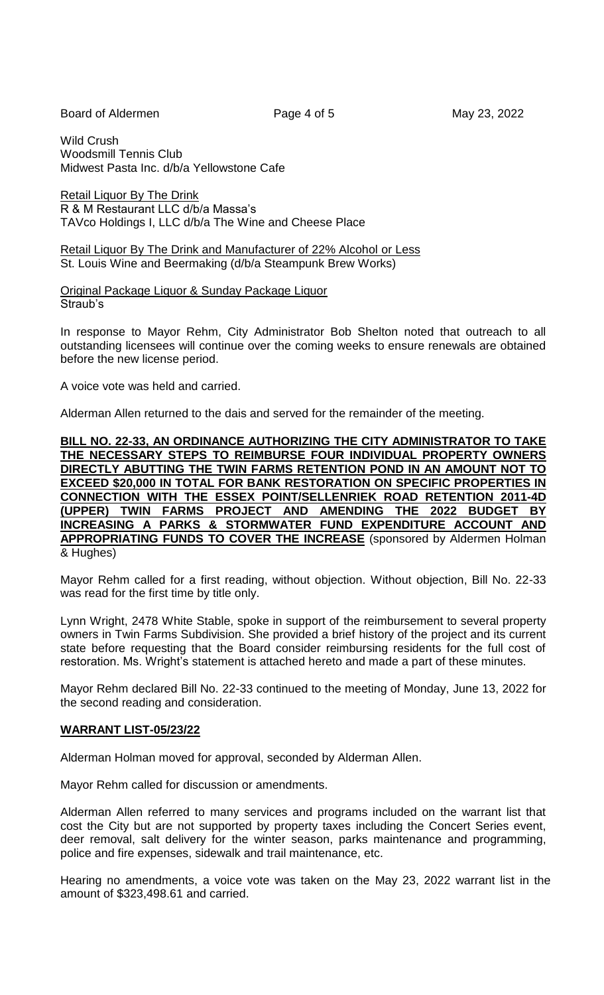Board of Aldermen **Page 4 of 5** May 23, 2022

Wild Crush Woodsmill Tennis Club Midwest Pasta Inc. d/b/a Yellowstone Cafe

Retail Liquor By The Drink R & M Restaurant LLC d/b/a Massa's TAVco Holdings I, LLC d/b/a The Wine and Cheese Place

Retail Liquor By The Drink and Manufacturer of 22% Alcohol or Less St. Louis Wine and Beermaking (d/b/a Steampunk Brew Works)

Original Package Liquor & Sunday Package Liquor Straub's

In response to Mayor Rehm, City Administrator Bob Shelton noted that outreach to all outstanding licensees will continue over the coming weeks to ensure renewals are obtained before the new license period.

A voice vote was held and carried.

Alderman Allen returned to the dais and served for the remainder of the meeting.

**BILL NO. 22-33, AN ORDINANCE AUTHORIZING THE CITY ADMINISTRATOR TO TAKE THE NECESSARY STEPS TO REIMBURSE FOUR INDIVIDUAL PROPERTY OWNERS DIRECTLY ABUTTING THE TWIN FARMS RETENTION POND IN AN AMOUNT NOT TO EXCEED \$20,000 IN TOTAL FOR BANK RESTORATION ON SPECIFIC PROPERTIES IN CONNECTION WITH THE ESSEX POINT/SELLENRIEK ROAD RETENTION 2011-4D (UPPER) TWIN FARMS PROJECT AND AMENDING THE 2022 BUDGET BY INCREASING A PARKS & STORMWATER FUND EXPENDITURE ACCOUNT AND APPROPRIATING FUNDS TO COVER THE INCREASE** (sponsored by Aldermen Holman & Hughes)

Mayor Rehm called for a first reading, without objection. Without objection, Bill No. 22-33 was read for the first time by title only.

Lynn Wright, 2478 White Stable, spoke in support of the reimbursement to several property owners in Twin Farms Subdivision. She provided a brief history of the project and its current state before requesting that the Board consider reimbursing residents for the full cost of restoration. Ms. Wright's statement is attached hereto and made a part of these minutes.

Mayor Rehm declared Bill No. 22-33 continued to the meeting of Monday, June 13, 2022 for the second reading and consideration.

## **WARRANT LIST-05/23/22**

Alderman Holman moved for approval, seconded by Alderman Allen.

Mayor Rehm called for discussion or amendments.

Alderman Allen referred to many services and programs included on the warrant list that cost the City but are not supported by property taxes including the Concert Series event, deer removal, salt delivery for the winter season, parks maintenance and programming, police and fire expenses, sidewalk and trail maintenance, etc.

Hearing no amendments, a voice vote was taken on the May 23, 2022 warrant list in the amount of \$323,498.61 and carried.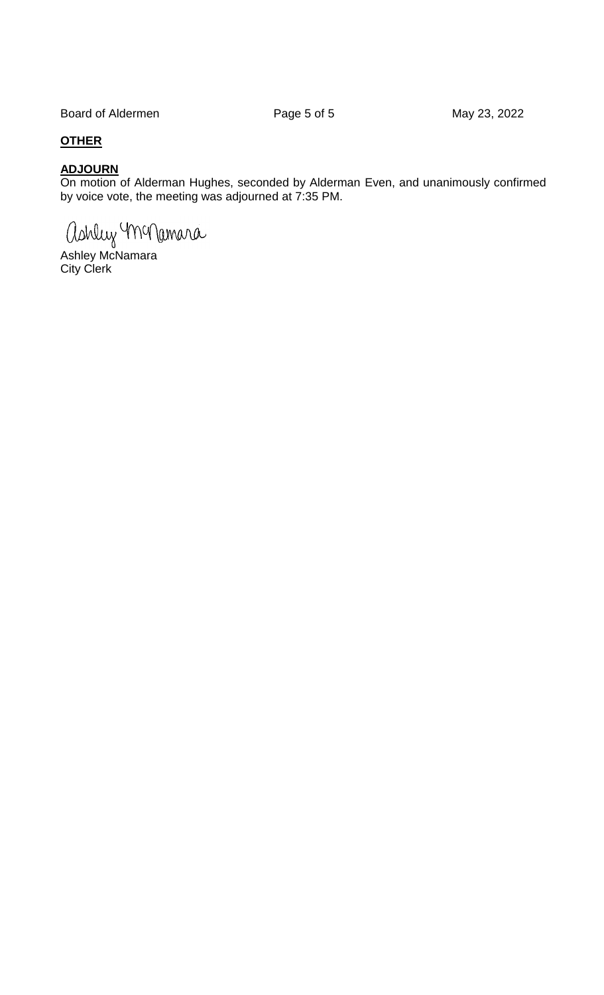Board of Aldermen **Page 5 of 5** May 23, 2022

# **OTHER**

# **ADJOURN**

On motion of Alderman Hughes, seconded by Alderman Even, and unanimously confirmed by voice vote, the meeting was adjourned at 7:35 PM.

ashluy monamara

Ashley McNamara City Clerk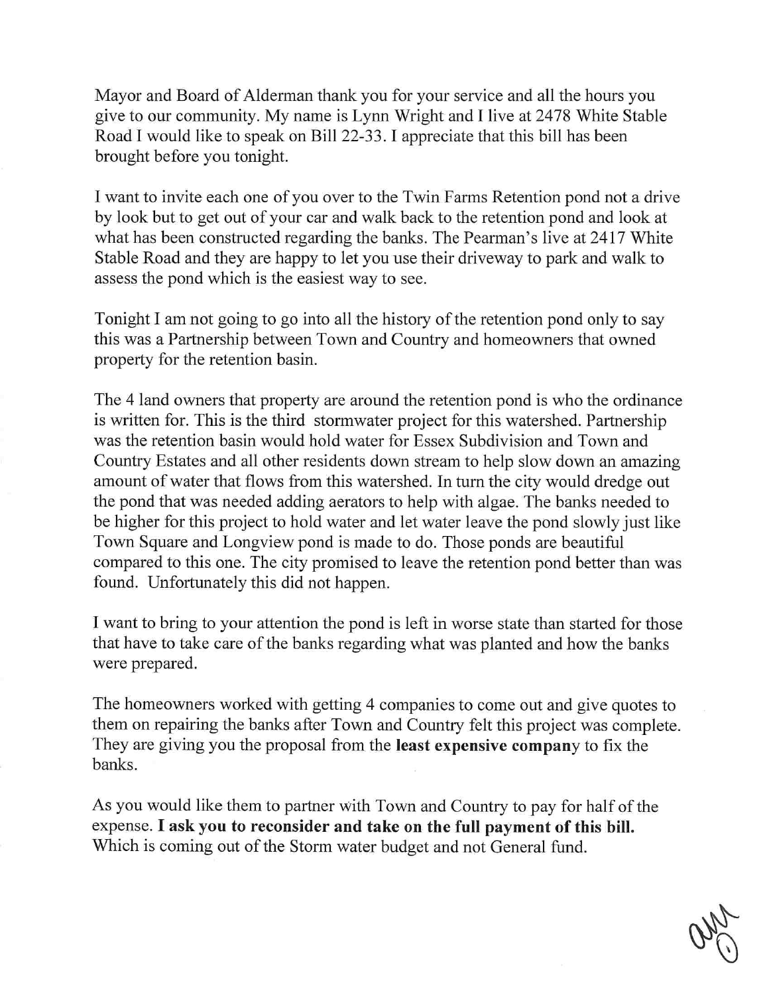Mayor and Board of Alderman thank you for your service and all the hours you give to our community. My name is Lynn Wright and I live at 2478 White Stable Road I would like to speak on Bill 22-33. I appreciate that this bill has been brought before you tonight.

I want to invite each one of you over to the Twin Farms Retention pond not a drive by look but to get out of your car and walk back to the retention pond and look at what has been constructed regarding the banks. The Pearman's live at 2417 White Stable Road and they are happy to let you use their driveway to park and walk to assess the pond which is the easiest way to see.

Tonight I am not going to go into all the history of the retention pond only to say this was a Partnership between Town and Country and homeowners that owned property for the retention basin.

The 4 land owners that property are around the retention pond is who the ordinance is written for. This is the third stormwater project for this watershed. Partnership was the retention basin would hold water for Essex Subdivision and Town and Country Estates and all other residents down stream to help slow down an amazing amount of water that flows from this watershed. In turn the city would dredge out the pond that was needed adding aerators to help with algae. The banks needed to be higher for this project to hold water and let water leave the pond slowly just like Town Square and Longview pond is made to do. Those ponds are beautiful compared to this one. The city promised to leave the retention pond better than was found. Unfortunately this did not happen.

I want to bring to your attention the pond is left in worse state than started for those that have to take care of the banks regarding what was planted and how the banks were prepared.

The homeowners worked with getting 4 companies to come out and give quotes to them on repairing the banks after Town and Country felt this project was complete. They are giving you the proposal from the least expensive company to fix the banks.

As you would like them to partner With Town and Country to pay for half of the expense. I ask you to reconsider and take on the full payment of this bill. Which is coming out of the Storm water budget and not General fund.